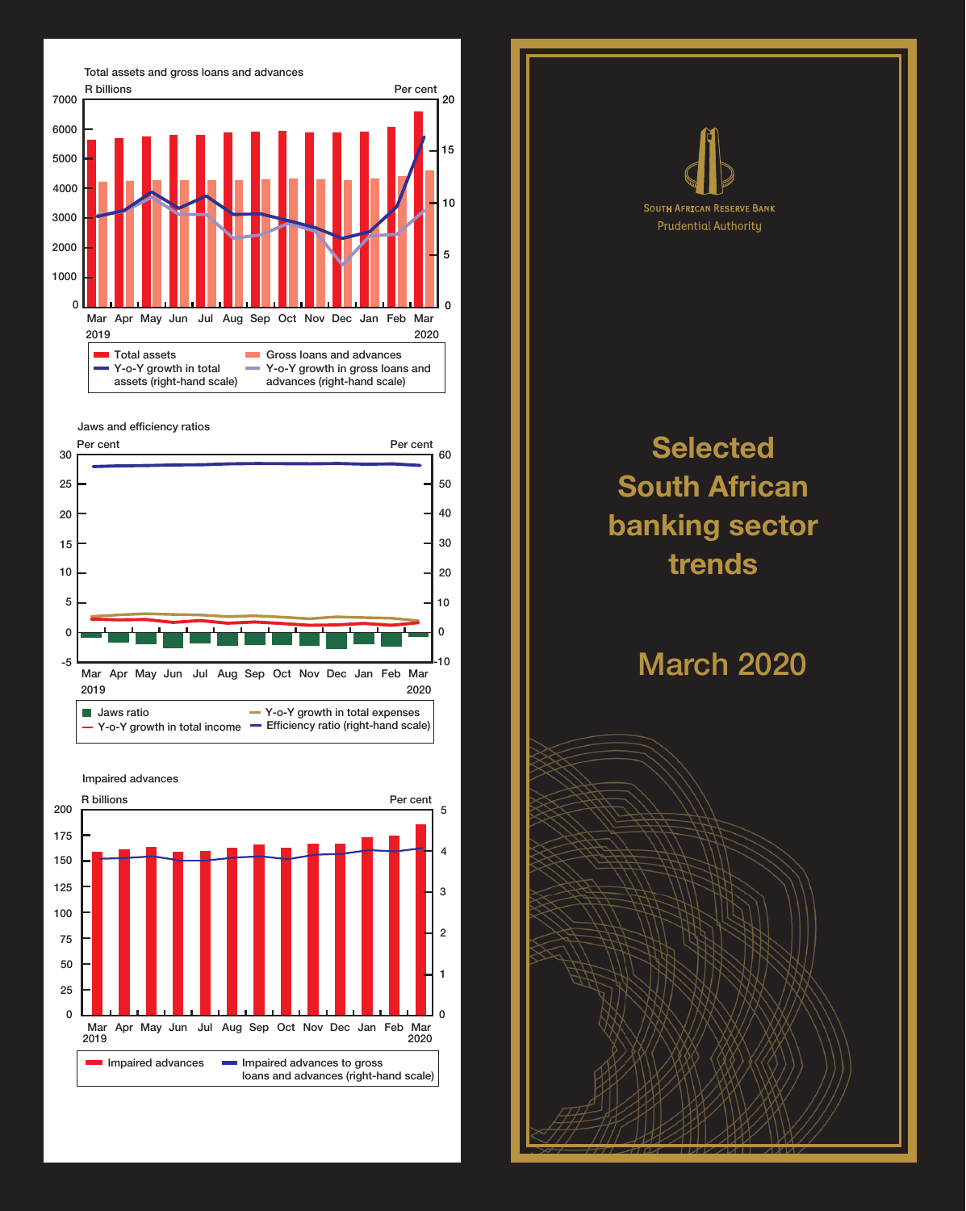